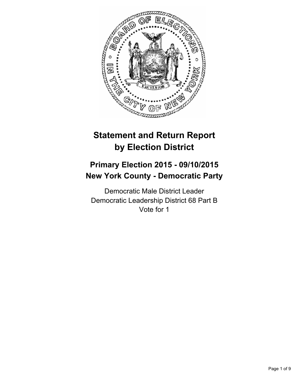

# **Statement and Return Report by Election District**

## **Primary Election 2015 - 09/10/2015 New York County - Democratic Party**

Democratic Male District Leader Democratic Leadership District 68 Part B Vote for 1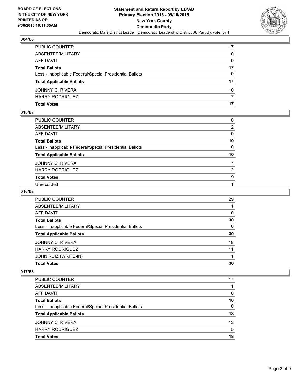

| PUBLIC COUNTER                                           | 17       |
|----------------------------------------------------------|----------|
| ABSENTEE/MILITARY                                        | 0        |
| AFFIDAVIT                                                | 0        |
| <b>Total Ballots</b>                                     | 17       |
| Less - Inapplicable Federal/Special Presidential Ballots | $\Omega$ |
| <b>Total Applicable Ballots</b>                          | 17       |
| JOHNNY C. RIVERA                                         | 10       |
| HARRY RODRIGUEZ                                          | 7        |
| Total Votes                                              | 17       |

#### **015/68**

| PUBLIC COUNTER                                           | 8               |
|----------------------------------------------------------|-----------------|
| ABSENTEE/MILITARY                                        | $\overline{2}$  |
| AFFIDAVIT                                                | 0               |
| Total Ballots                                            | 10              |
| Less - Inapplicable Federal/Special Presidential Ballots | $\mathbf{0}$    |
| <b>Total Applicable Ballots</b>                          | 10 <sup>°</sup> |
| JOHNNY C. RIVERA                                         | $\overline{7}$  |
| <b>HARRY RODRIGUEZ</b>                                   | 2               |
| <b>Total Votes</b>                                       | 9               |
| Unrecorded                                               |                 |
|                                                          |                 |

## **016/68**

| <b>PUBLIC COUNTER</b>                                    | 29       |
|----------------------------------------------------------|----------|
| ABSENTEE/MILITARY                                        |          |
| AFFIDAVIT                                                | $\Omega$ |
| <b>Total Ballots</b>                                     | 30       |
| Less - Inapplicable Federal/Special Presidential Ballots | $\Omega$ |
| <b>Total Applicable Ballots</b>                          | 30       |
| JOHNNY C. RIVERA                                         | 18       |
| <b>HARRY RODRIGUEZ</b>                                   | 11       |
| JOHN RUIZ (WRITE-IN)                                     |          |
| <b>Total Votes</b>                                       | 30       |

| <b>PUBLIC COUNTER</b>                                    | 17 |
|----------------------------------------------------------|----|
| ABSENTEE/MILITARY                                        |    |
| AFFIDAVIT                                                | 0  |
| <b>Total Ballots</b>                                     | 18 |
| Less - Inapplicable Federal/Special Presidential Ballots | 0  |
| <b>Total Applicable Ballots</b>                          | 18 |
| JOHNNY C. RIVERA                                         | 13 |
| <b>HARRY RODRIGUEZ</b>                                   | 5  |
| <b>Total Votes</b>                                       | 18 |
|                                                          |    |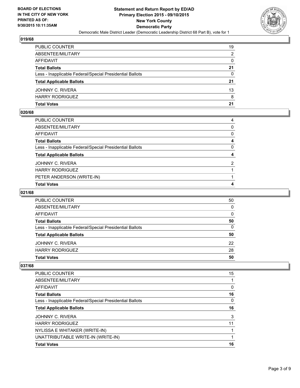

| PUBLIC COUNTER                                           | 19           |
|----------------------------------------------------------|--------------|
| ABSENTEE/MILITARY                                        | 2            |
| AFFIDAVIT                                                | $\mathbf{0}$ |
| <b>Total Ballots</b>                                     | 21           |
| Less - Inapplicable Federal/Special Presidential Ballots | $\Omega$     |
| <b>Total Applicable Ballots</b>                          | 21           |
| JOHNNY C. RIVERA                                         | 13           |
| HARRY RODRIGUEZ                                          | 8            |
| Total Votes                                              | 21           |

#### **020/68**

| PUBLIC COUNTER                                           | 4            |
|----------------------------------------------------------|--------------|
| ABSENTEE/MILITARY                                        | $\mathbf{0}$ |
| AFFIDAVIT                                                | $\mathbf{0}$ |
| <b>Total Ballots</b>                                     | 4            |
| Less - Inapplicable Federal/Special Presidential Ballots | $\mathbf{0}$ |
| <b>Total Applicable Ballots</b>                          | 4            |
| JOHNNY C. RIVERA                                         | 2            |
| HARRY RODRIGUEZ                                          |              |
| PETER ANDERSON (WRITE-IN)                                |              |
| Total Votes                                              | 4            |

## **021/68**

| <b>PUBLIC COUNTER</b>                                    | 50 |
|----------------------------------------------------------|----|
| ABSENTEE/MILITARY                                        | 0  |
| AFFIDAVIT                                                | 0  |
| <b>Total Ballots</b>                                     | 50 |
| Less - Inapplicable Federal/Special Presidential Ballots | 0  |
| <b>Total Applicable Ballots</b>                          | 50 |
| JOHNNY C. RIVERA                                         | 22 |
| <b>HARRY RODRIGUEZ</b>                                   | 28 |
| <b>Total Votes</b>                                       | 50 |

| 15 |
|----|
|    |
| 0  |
| 16 |
| 0  |
| 16 |
| 3  |
| 11 |
|    |
|    |
| 16 |
|    |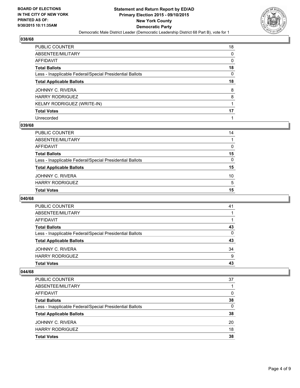

| PUBLIC COUNTER                                           | 18 |
|----------------------------------------------------------|----|
| ABSENTEE/MILITARY                                        | 0  |
| AFFIDAVIT                                                | 0  |
| <b>Total Ballots</b>                                     | 18 |
| Less - Inapplicable Federal/Special Presidential Ballots | 0  |
| <b>Total Applicable Ballots</b>                          | 18 |
| JOHNNY C. RIVERA                                         | 8  |
| HARRY RODRIGUEZ                                          | 8  |
| KELMY RODRIGUEZ (WRITE-IN)                               |    |
| <b>Total Votes</b>                                       | 17 |
| Unrecorded                                               |    |

#### **039/68**

| PUBLIC COUNTER                                           | 14           |
|----------------------------------------------------------|--------------|
| ABSENTEE/MILITARY                                        |              |
| AFFIDAVIT                                                | $\mathbf{0}$ |
| <b>Total Ballots</b>                                     | 15           |
| Less - Inapplicable Federal/Special Presidential Ballots | 0            |
| <b>Total Applicable Ballots</b>                          | 15           |
| JOHNNY C. RIVERA                                         | 10           |
| <b>HARRY RODRIGUEZ</b>                                   | 5            |
| <b>Total Votes</b>                                       | 15           |

#### **040/68**

| <b>PUBLIC COUNTER</b>                                    | 41 |
|----------------------------------------------------------|----|
| ABSENTEE/MILITARY                                        |    |
| AFFIDAVIT                                                |    |
| <b>Total Ballots</b>                                     | 43 |
| Less - Inapplicable Federal/Special Presidential Ballots | 0  |
| <b>Total Applicable Ballots</b>                          | 43 |
| JOHNNY C. RIVERA                                         | 34 |
| <b>HARRY RODRIGUEZ</b>                                   | 9  |
| <b>Total Votes</b>                                       | 43 |

| <b>PUBLIC COUNTER</b>                                    | 37       |
|----------------------------------------------------------|----------|
| ABSENTEE/MILITARY                                        |          |
| AFFIDAVIT                                                | $\Omega$ |
| <b>Total Ballots</b>                                     | 38       |
| Less - Inapplicable Federal/Special Presidential Ballots | $\Omega$ |
| <b>Total Applicable Ballots</b>                          | 38       |
| JOHNNY C. RIVERA                                         | 20       |
| <b>HARRY RODRIGUEZ</b>                                   | 18       |
| <b>Total Votes</b>                                       | 38       |
|                                                          |          |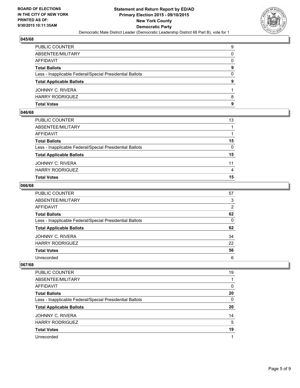

| PUBLIC COUNTER                                           | 9            |
|----------------------------------------------------------|--------------|
| ABSENTEE/MILITARY                                        | 0            |
| AFFIDAVIT                                                | $\mathbf{0}$ |
| <b>Total Ballots</b>                                     | 9            |
| Less - Inapplicable Federal/Special Presidential Ballots | $\Omega$     |
| <b>Total Applicable Ballots</b>                          | 9            |
| JOHNNY C. RIVERA                                         |              |
| HARRY RODRIGUEZ                                          | 8            |
| Total Votes                                              | 9            |

#### **046/68**

| <b>Total Votes</b>                                       | 15           |
|----------------------------------------------------------|--------------|
| <b>HARRY RODRIGUEZ</b>                                   | 4            |
| JOHNNY C. RIVERA                                         | 11           |
| <b>Total Applicable Ballots</b>                          | 15           |
| Less - Inapplicable Federal/Special Presidential Ballots | $\mathbf{0}$ |
| <b>Total Ballots</b>                                     | 15           |
| <b>AFFIDAVIT</b>                                         |              |
| ABSENTEE/MILITARY                                        |              |
| PUBLIC COUNTER                                           | 13           |

#### **066/68**

| PUBLIC COUNTER                                           | 57           |
|----------------------------------------------------------|--------------|
| ABSENTEE/MILITARY                                        | 3            |
| AFFIDAVIT                                                | 2            |
| <b>Total Ballots</b>                                     | 62           |
| Less - Inapplicable Federal/Special Presidential Ballots | $\mathbf{0}$ |
| <b>Total Applicable Ballots</b>                          | 62           |
| JOHNNY C. RIVERA                                         | 34           |
| <b>HARRY RODRIGUEZ</b>                                   | 22           |
| <b>Total Votes</b>                                       | 56           |
| Unrecorded                                               | 6            |

| 19 |
|----|
|    |
| 0  |
| 20 |
| 0  |
| 20 |
| 14 |
| 5  |
| 19 |
|    |
|    |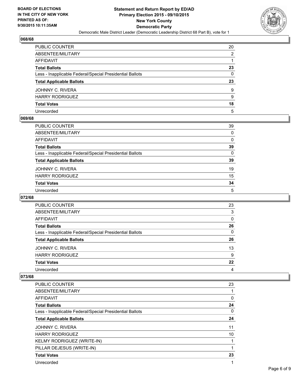

| PUBLIC COUNTER                                           | 20 |
|----------------------------------------------------------|----|
| ABSENTEE/MILITARY                                        | 2  |
| AFFIDAVIT                                                |    |
| Total Ballots                                            | 23 |
| Less - Inapplicable Federal/Special Presidential Ballots | 0  |
| <b>Total Applicable Ballots</b>                          | 23 |
| JOHNNY C. RIVERA                                         | 9  |
| <b>HARRY RODRIGUEZ</b>                                   | 9  |
| <b>Total Votes</b>                                       | 18 |
| Unrecorded                                               | 5  |

### **069/68**

| PUBLIC COUNTER                                           | 39           |
|----------------------------------------------------------|--------------|
| ABSENTEE/MILITARY                                        | 0            |
| AFFIDAVIT                                                | 0            |
| <b>Total Ballots</b>                                     | 39           |
| Less - Inapplicable Federal/Special Presidential Ballots | $\mathbf{0}$ |
| <b>Total Applicable Ballots</b>                          | 39           |
| JOHNNY C. RIVERA                                         | 19           |
| <b>HARRY RODRIGUEZ</b>                                   | 15           |
| Total Votes                                              | 34           |
| Unrecorded                                               | 5            |

#### **072/68**

| PUBLIC COUNTER                                           | 23       |
|----------------------------------------------------------|----------|
| ABSENTEE/MILITARY                                        | 3        |
| AFFIDAVIT                                                | 0        |
| <b>Total Ballots</b>                                     | 26       |
| Less - Inapplicable Federal/Special Presidential Ballots | $\Omega$ |
| <b>Total Applicable Ballots</b>                          | 26       |
| JOHNNY C. RIVERA                                         | 13       |
| <b>HARRY RODRIGUEZ</b>                                   | 9        |
| <b>Total Votes</b>                                       | 22       |
| Unrecorded                                               | 4        |

| <b>PUBLIC COUNTER</b>                                    | 23 |
|----------------------------------------------------------|----|
| ABSENTEE/MILITARY                                        |    |
| <b>AFFIDAVIT</b>                                         | 0  |
| <b>Total Ballots</b>                                     | 24 |
| Less - Inapplicable Federal/Special Presidential Ballots | 0  |
| <b>Total Applicable Ballots</b>                          | 24 |
| JOHNNY C. RIVERA                                         | 11 |
| <b>HARRY RODRIGUEZ</b>                                   | 10 |
| <b>KELMY RODRIGUEZ (WRITE-IN)</b>                        | 1  |
| PILLAR DEJESUS (WRITE-IN)                                | 1  |
| <b>Total Votes</b>                                       | 23 |
| Unrecorded                                               | 4  |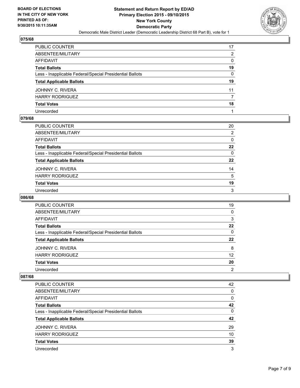

| PUBLIC COUNTER                                           | 17 |
|----------------------------------------------------------|----|
| ABSENTEE/MILITARY                                        | 2  |
| AFFIDAVIT                                                | 0  |
| Total Ballots                                            | 19 |
| Less - Inapplicable Federal/Special Presidential Ballots | 0  |
| <b>Total Applicable Ballots</b>                          | 19 |
| JOHNNY C. RIVERA                                         | 11 |
| <b>HARRY RODRIGUEZ</b>                                   | 7  |
| <b>Total Votes</b>                                       | 18 |
| Unrecorded                                               |    |

### **079/68**

| PUBLIC COUNTER                                           | 20               |
|----------------------------------------------------------|------------------|
| ABSENTEE/MILITARY                                        | $\overline{2}$   |
| AFFIDAVIT                                                | 0                |
| Total Ballots                                            | $22\phantom{.0}$ |
| Less - Inapplicable Federal/Special Presidential Ballots | $\mathbf{0}$     |
| <b>Total Applicable Ballots</b>                          | $22 \,$          |
| JOHNNY C. RIVERA                                         | 14               |
| <b>HARRY RODRIGUEZ</b>                                   | 5                |
| <b>Total Votes</b>                                       | 19               |
| Unrecorded                                               | 3                |
|                                                          |                  |

#### **086/68**

| PUBLIC COUNTER                                           | 19             |
|----------------------------------------------------------|----------------|
| ABSENTEE/MILITARY                                        | 0              |
| AFFIDAVIT                                                | 3              |
| <b>Total Ballots</b>                                     | 22             |
| Less - Inapplicable Federal/Special Presidential Ballots | 0              |
| <b>Total Applicable Ballots</b>                          | 22             |
| JOHNNY C. RIVERA                                         | 8              |
| <b>HARRY RODRIGUEZ</b>                                   | 12             |
| <b>Total Votes</b>                                       | 20             |
| Unrecorded                                               | $\overline{2}$ |

| <b>PUBLIC COUNTER</b>                                    | 42 |
|----------------------------------------------------------|----|
| ABSENTEE/MILITARY                                        | 0  |
| AFFIDAVIT                                                | 0  |
| <b>Total Ballots</b>                                     | 42 |
| Less - Inapplicable Federal/Special Presidential Ballots | 0  |
| <b>Total Applicable Ballots</b>                          | 42 |
| JOHNNY C. RIVERA                                         | 29 |
| <b>HARRY RODRIGUEZ</b>                                   | 10 |
| <b>Total Votes</b>                                       | 39 |
| Unrecorded                                               | 3  |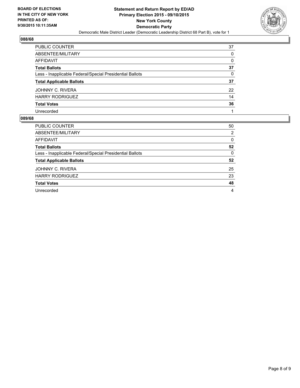

| PUBLIC COUNTER                                           | 37 |
|----------------------------------------------------------|----|
| ABSENTEE/MILITARY                                        | 0  |
| AFFIDAVIT                                                | 0  |
| <b>Total Ballots</b>                                     | 37 |
| Less - Inapplicable Federal/Special Presidential Ballots | 0  |
| <b>Total Applicable Ballots</b>                          | 37 |
| JOHNNY C. RIVERA                                         | 22 |
| <b>HARRY RODRIGUEZ</b>                                   | 14 |
| <b>Total Votes</b>                                       | 36 |
| Unrecorded                                               | 1  |

| <b>PUBLIC COUNTER</b>                                    | 50 |
|----------------------------------------------------------|----|
| ABSENTEE/MILITARY                                        | 2  |
| AFFIDAVIT                                                | 0  |
| <b>Total Ballots</b>                                     | 52 |
| Less - Inapplicable Federal/Special Presidential Ballots | 0  |
| <b>Total Applicable Ballots</b>                          | 52 |
| JOHNNY C. RIVERA                                         | 25 |
| <b>HARRY RODRIGUEZ</b>                                   | 23 |
| <b>Total Votes</b>                                       | 48 |
| Unrecorded                                               | 4  |